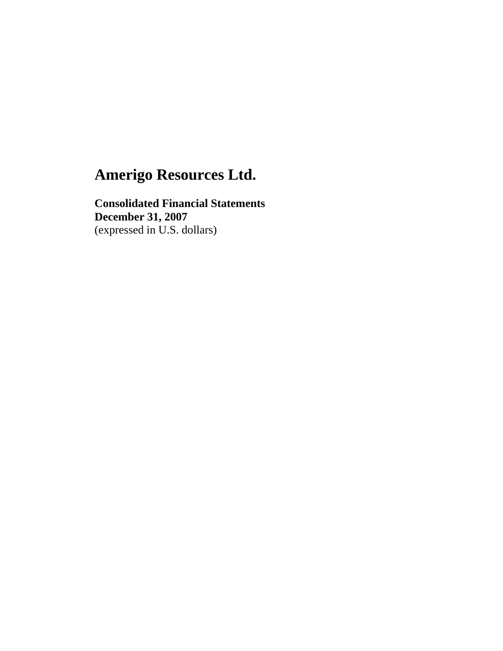**Consolidated Financial Statements December 31, 2007**  (expressed in U.S. dollars)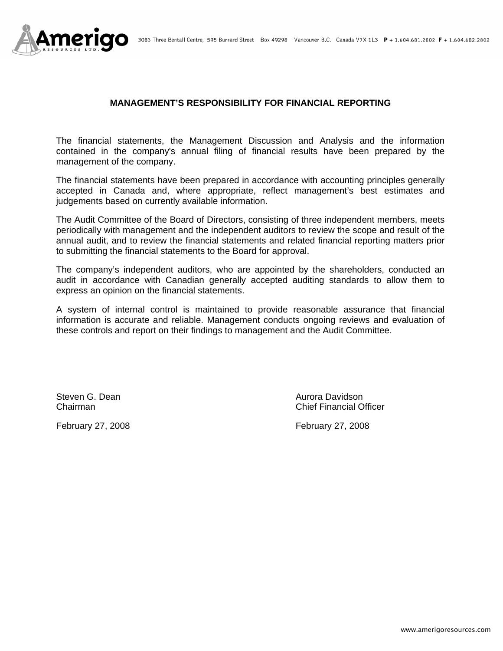

### **MANAGEMENT'S RESPONSIBILITY FOR FINANCIAL REPORTING**

The financial statements, the Management Discussion and Analysis and the information contained in the company's annual filing of financial results have been prepared by the management of the company.

The financial statements have been prepared in accordance with accounting principles generally accepted in Canada and, where appropriate, reflect management's best estimates and judgements based on currently available information.

The Audit Committee of the Board of Directors, consisting of three independent members, meets periodically with management and the independent auditors to review the scope and result of the annual audit, and to review the financial statements and related financial reporting matters prior to submitting the financial statements to the Board for approval.

The company's independent auditors, who are appointed by the shareholders, conducted an audit in accordance with Canadian generally accepted auditing standards to allow them to express an opinion on the financial statements.

A system of internal control is maintained to provide reasonable assurance that financial information is accurate and reliable. Management conducts ongoing reviews and evaluation of these controls and report on their findings to management and the Audit Committee.

Steven G. Dean **Aurora Davidson** Aurora Davidson

February 27, 2008 February 27, 2008

Chairman Chief Financial Officer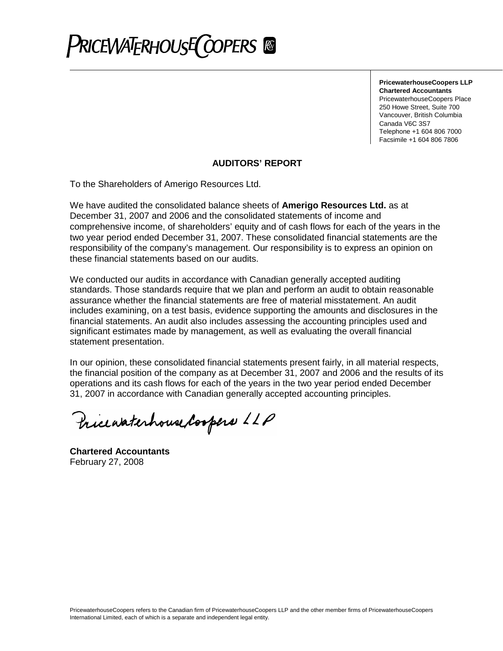

**PricewaterhouseCoopers LLP Chartered Accountants** PricewaterhouseCoopers Place 250 Howe Street, Suite 700 Vancouver, British Columbia Canada V6C 3S7 Telephone +1 604 806 7000 Facsimile +1 604 806 7806

### **AUDITORS' REPORT**

To the Shareholders of Amerigo Resources Ltd.

We have audited the consolidated balance sheets of **Amerigo Resources Ltd.** as at December 31, 2007 and 2006 and the consolidated statements of income and comprehensive income, of shareholders' equity and of cash flows for each of the years in the two year period ended December 31, 2007. These consolidated financial statements are the responsibility of the company's management. Our responsibility is to express an opinion on these financial statements based on our audits.

We conducted our audits in accordance with Canadian generally accepted auditing standards. Those standards require that we plan and perform an audit to obtain reasonable assurance whether the financial statements are free of material misstatement. An audit includes examining, on a test basis, evidence supporting the amounts and disclosures in the financial statements. An audit also includes assessing the accounting principles used and significant estimates made by management, as well as evaluating the overall financial statement presentation.

In our opinion, these consolidated financial statements present fairly, in all material respects, the financial position of the company as at December 31, 2007 and 2006 and the results of its operations and its cash flows for each of the years in the two year period ended December 31, 2007 in accordance with Canadian generally accepted accounting principles.

Pricewaterhouse Coopers LLP

**Chartered Accountants** February 27, 2008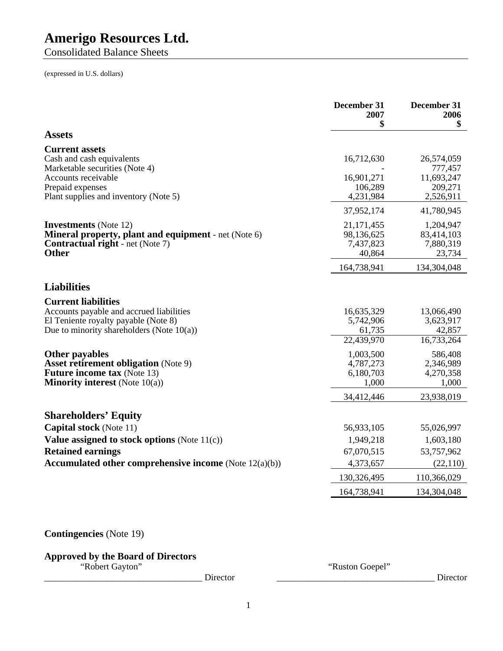Consolidated Balance Sheets

(expressed in U.S. dollars)

|                                                                                                                                                                | December 31<br>2007<br>\$                                  | December 31<br>2006<br>\$                                |
|----------------------------------------------------------------------------------------------------------------------------------------------------------------|------------------------------------------------------------|----------------------------------------------------------|
| <b>Assets</b>                                                                                                                                                  |                                                            |                                                          |
| <b>Current assets</b><br>Cash and cash equivalents<br>Marketable securities (Note 4)<br>Accounts receivable<br>Prepaid expenses                                | 16,712,630<br>16,901,271<br>106,289                        | 26,574,059<br>777,457<br>11,693,247<br>209,271           |
| Plant supplies and inventory (Note 5)                                                                                                                          | 4,231,984                                                  | 2,526,911                                                |
|                                                                                                                                                                | 37,952,174                                                 | 41,780,945                                               |
| <b>Investments</b> (Note 12)<br>Mineral property, plant and equipment - net (Note 6)<br><b>Contractual right</b> - net (Note 7)<br><b>Other</b>                | 21,171,455<br>98,136,625<br>7,437,823<br>40,864            | 1,204,947<br>83,414,103<br>7,880,319<br>23,734           |
|                                                                                                                                                                | 164,738,941                                                | 134,304,048                                              |
| <b>Liabilities</b>                                                                                                                                             |                                                            |                                                          |
| <b>Current liabilities</b><br>Accounts payable and accrued liabilities<br>El Teniente royalty payable (Note 8)<br>Due to minority shareholders (Note $10(a)$ ) | 16,635,329<br>5,742,906<br>61,735<br>22,439,970            | 13,066,490<br>3,623,917<br>42,857<br>16,733,264          |
| Other payables<br><b>Asset retirement obligation (Note 9)</b><br><b>Future income tax (Note 13)</b><br><b>Minority interest</b> (Note $10(a)$ )                | 1,003,500<br>4,787,273<br>6,180,703<br>1,000<br>34,412,446 | 586,408<br>2,346,989<br>4,270,358<br>1,000<br>23,938,019 |
|                                                                                                                                                                |                                                            |                                                          |
| <b>Shareholders' Equity</b>                                                                                                                                    |                                                            |                                                          |
| <b>Capital stock</b> (Note 11)<br>Value assigned to stock options (Note 11(c))                                                                                 | 56,933,105<br>1,949,218                                    | 55,026,997<br>1,603,180                                  |
| <b>Retained earnings</b>                                                                                                                                       | 67,070,515                                                 | 53,757,962                                               |
| Accumulated other comprehensive income (Note $12(a)(b)$ )                                                                                                      | 4,373,657                                                  | (22, 110)                                                |
|                                                                                                                                                                | 130,326,495                                                | 110,366,029                                              |
|                                                                                                                                                                | 164,738,941                                                | 134,304,048                                              |
|                                                                                                                                                                |                                                            |                                                          |

### **Contingencies** (Note 19)

### **Approved by the Board of Directors**

\_\_\_\_\_\_\_\_\_\_\_\_\_\_\_\_\_\_\_\_\_\_\_\_\_\_\_\_\_\_\_\_\_\_\_ Director \_\_\_\_\_\_\_\_\_\_\_\_\_\_\_\_\_\_\_\_\_\_\_\_\_\_\_\_\_\_\_\_\_\_\_ Director

"Robert Gayton" "Ruston Goepel"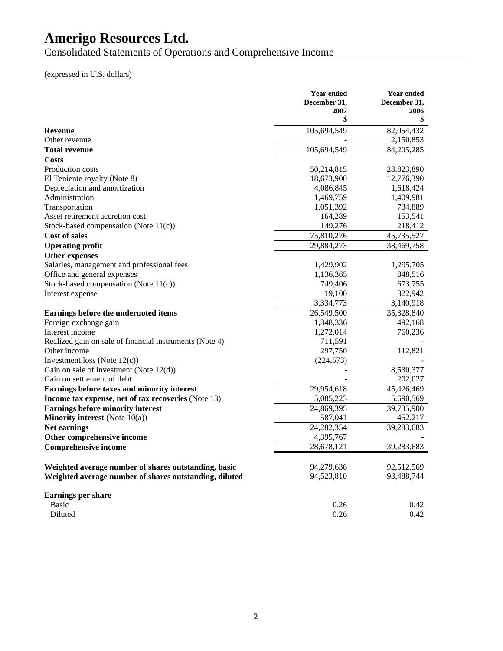Consolidated Statements of Operations and Comprehensive Income

### (expressed in U.S. dollars)

|                                                         | <b>Year ended</b><br>December 31, | <b>Year ended</b><br>December 31, |
|---------------------------------------------------------|-----------------------------------|-----------------------------------|
|                                                         | 2007<br>\$                        | 2006<br>\$                        |
| <b>Revenue</b>                                          | 105,694,549                       | 82,054,432                        |
| Other revenue                                           |                                   | 2,150,853                         |
| <b>Total revenue</b>                                    | 105,694,549                       | 84, 205, 285                      |
| Costs                                                   |                                   |                                   |
| Production costs                                        | 50,214,815                        | 28,823,890                        |
| El Teniente royalty (Note 8)                            | 18,673,900                        | 12,776,390                        |
| Depreciation and amortization                           | 4,086,845                         | 1,618,424                         |
| Administration                                          | 1,469,759                         | 1,409,981                         |
| Transportation                                          | 1,051,392                         | 734,889                           |
| Asset retirement accretion cost                         | 164,289                           | 153,541                           |
| Stock-based compensation (Note $11(c)$ )                | 149,276                           | 218,412                           |
| <b>Cost of sales</b>                                    | 75,810,276                        | 45,735,527                        |
| <b>Operating profit</b>                                 | 29,884,273                        | 38,469,758                        |
| <b>Other expenses</b>                                   |                                   |                                   |
| Salaries, management and professional fees              | 1,429,902                         | 1,295,705                         |
| Office and general expenses                             | 1,136,365                         | 848,516                           |
| Stock-based compensation (Note $11(c)$ )                | 749,406                           | 673,755                           |
| Interest expense                                        | 19,100                            | 322,942                           |
|                                                         | 3,334,773                         | 3,140,918                         |
| Earnings before the undernoted items                    | 26,549,500                        | 35,328,840                        |
| Foreign exchange gain                                   | 1,348,336                         | 492,168                           |
| Interest income                                         | 1,272,014                         | 760,236                           |
| Realized gain on sale of financial instruments (Note 4) | 711,591                           |                                   |
| Other income                                            | 297,750                           | 112,821                           |
| Investment loss (Note $12(c)$ )                         | (224, 573)                        |                                   |
| Gain on sale of investment (Note $12(d)$ )              |                                   | 8,530,377                         |
| Gain on settlement of debt                              |                                   | 202,027                           |
| Earnings before taxes and minority interest             | 29,954,618                        | 45,426,469                        |
| Income tax expense, net of tax recoveries (Note 13)     | 5,085,223                         | 5,690,569                         |
| <b>Earnings before minority interest</b>                | 24,869,395                        | 39,735,900                        |
| <b>Minority interest</b> (Note $10(a)$ )                | 587,041                           | 452,217                           |
| Net earnings                                            | 24, 282, 354                      | 39,283,683                        |
| Other comprehensive income                              | 4,395,767                         |                                   |
| <b>Comprehensive income</b>                             | 28,678,121                        | 39,283,683                        |
| Weighted average number of shares outstanding, basic    | 94,279,636                        | 92,512,569                        |
| Weighted average number of shares outstanding, diluted  | 94,523,810                        | 93,488,744                        |
| <b>Earnings per share</b>                               |                                   |                                   |
| <b>Basic</b>                                            | 0.26                              | 0.42                              |
| Diluted                                                 | 0.26                              | 0.42                              |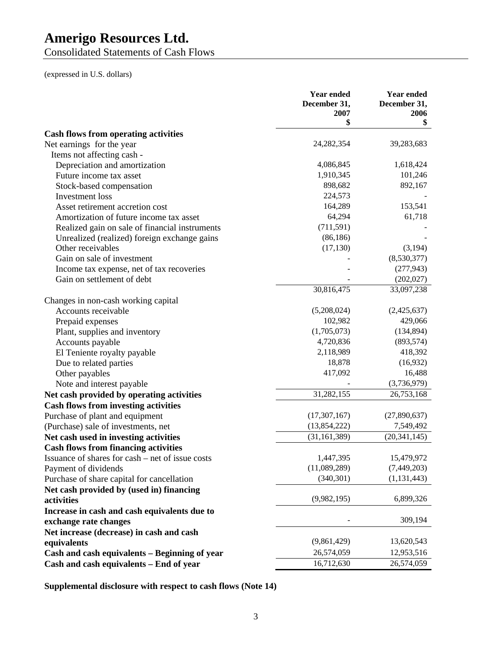Consolidated Statements of Cash Flows

(expressed in U.S. dollars)

|                                                  | <b>Year ended</b><br>December 31, | <b>Year ended</b><br>December 31, |
|--------------------------------------------------|-----------------------------------|-----------------------------------|
|                                                  | 2007                              | 2006                              |
|                                                  | \$                                | \$                                |
| <b>Cash flows from operating activities</b>      |                                   |                                   |
| Net earnings for the year                        | 24, 282, 354                      | 39,283,683                        |
| Items not affecting cash -                       |                                   |                                   |
| Depreciation and amortization                    | 4,086,845                         | 1,618,424                         |
| Future income tax asset                          | 1,910,345                         | 101,246                           |
| Stock-based compensation                         | 898,682                           | 892,167                           |
| Investment loss                                  | 224,573                           |                                   |
| Asset retirement accretion cost                  | 164,289                           | 153,541                           |
| Amortization of future income tax asset          | 64,294                            | 61,718                            |
| Realized gain on sale of financial instruments   | (711, 591)                        |                                   |
| Unrealized (realized) foreign exchange gains     | (86, 186)                         |                                   |
| Other receivables                                | (17, 130)                         | (3,194)                           |
| Gain on sale of investment                       |                                   | (8,530,377)                       |
| Income tax expense, net of tax recoveries        |                                   | (277, 943)                        |
| Gain on settlement of debt                       |                                   | (202, 027)                        |
|                                                  | 30,816,475                        | 33,097,238                        |
| Changes in non-cash working capital              |                                   |                                   |
| Accounts receivable                              | (5,208,024)                       | (2,425,637)                       |
| Prepaid expenses                                 | 102,982                           | 429,066                           |
| Plant, supplies and inventory                    | (1,705,073)                       | (134, 894)                        |
| Accounts payable                                 | 4,720,836                         | (893, 574)                        |
| El Teniente royalty payable                      | 2,118,989                         | 418,392                           |
| Due to related parties                           | 18,878                            | (16,932)                          |
| Other payables                                   | 417,092                           | 16,488                            |
| Note and interest payable                        |                                   | (3,736,979)                       |
| Net cash provided by operating activities        | 31,282,155                        | 26,753,168                        |
| <b>Cash flows from investing activities</b>      |                                   |                                   |
| Purchase of plant and equipment                  | (17,307,167)                      | (27,890,637)                      |
| (Purchase) sale of investments, net              | (13,854,222)                      | 7,549,492                         |
| Net cash used in investing activities            | (31, 161, 389)                    | (20, 341, 145)                    |
| <b>Cash flows from financing activities</b>      |                                   |                                   |
| Issuance of shares for cash – net of issue costs | 1,447,395                         | 15,479,972                        |
| Payment of dividends                             | (11,089,289)                      | (7,449,203)                       |
| Purchase of share capital for cancellation       | (340, 301)                        | (1, 131, 443)                     |
| Net cash provided by (used in) financing         |                                   |                                   |
| activities                                       | (9,982,195)                       | 6,899,326                         |
| Increase in cash and cash equivalents due to     |                                   |                                   |
| exchange rate changes                            |                                   | 309,194                           |
| Net increase (decrease) in cash and cash         |                                   |                                   |
| equivalents                                      | (9,861,429)                       | 13,620,543                        |
| Cash and cash equivalents - Beginning of year    | 26,574,059                        | 12,953,516                        |
| Cash and cash equivalents - End of year          | 16,712,630                        | 26,574,059                        |
|                                                  |                                   |                                   |

**Supplemental disclosure with respect to cash flows (Note 14)**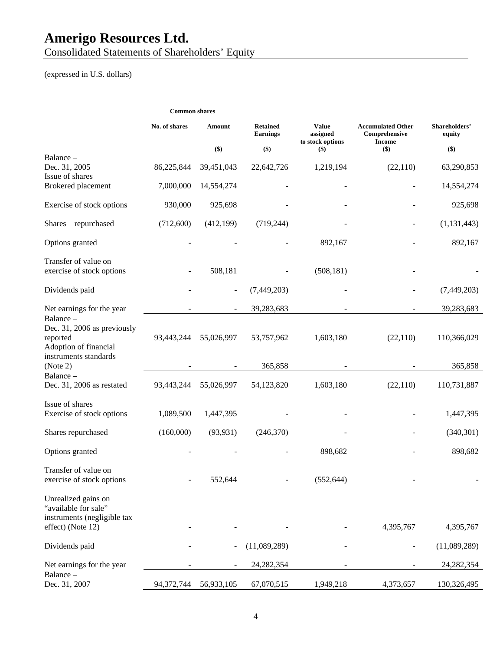Consolidated Statements of Shareholders' Equity

(expressed in U.S. dollars)

|                                                                              | <b>Common shares</b> |                          |                                    |                                              |                                                            |                         |
|------------------------------------------------------------------------------|----------------------|--------------------------|------------------------------------|----------------------------------------------|------------------------------------------------------------|-------------------------|
|                                                                              | No. of shares        | Amount                   | <b>Retained</b><br><b>Earnings</b> | <b>Value</b><br>assigned<br>to stock options | <b>Accumulated Other</b><br>Comprehensive<br><b>Income</b> | Shareholders'<br>equity |
|                                                                              |                      | \$)                      | \$)                                | $($)$                                        | \$)                                                        | $($)$                   |
| Balance -<br>Dec. 31, 2005<br>Issue of shares                                | 86,225,844           | 39,451,043               | 22,642,726                         | 1,219,194                                    | (22,110)                                                   | 63,290,853              |
| Brokered placement                                                           | 7,000,000            | 14,554,274               |                                    |                                              |                                                            | 14,554,274              |
| Exercise of stock options                                                    | 930,000              | 925,698                  |                                    |                                              |                                                            | 925,698                 |
| Shares repurchased                                                           | (712,600)            | (412, 199)               | (719, 244)                         |                                              |                                                            | (1, 131, 443)           |
| Options granted                                                              |                      |                          |                                    | 892,167                                      |                                                            | 892,167                 |
| Transfer of value on<br>exercise of stock options                            |                      | 508,181                  |                                    | (508, 181)                                   |                                                            |                         |
| Dividends paid                                                               |                      | $\overline{\phantom{a}}$ | (7,449,203)                        |                                              |                                                            | (7,449,203)             |
| Net earnings for the year                                                    |                      | $\blacksquare$           | 39,283,683                         |                                              |                                                            | 39,283,683              |
| Balance-<br>Dec. 31, 2006 as previously<br>reported<br>Adoption of financial | 93,443,244           | 55,026,997               | 53,757,962                         | 1,603,180                                    | (22,110)                                                   | 110,366,029             |
| instruments standards<br>(Note 2)                                            |                      |                          | 365,858                            |                                              |                                                            | 365,858                 |
| Balance-<br>Dec. 31, 2006 as restated                                        | 93,443,244           | 55,026,997               | 54,123,820                         | 1,603,180                                    | (22, 110)                                                  | 110,731,887             |
| Issue of shares<br>Exercise of stock options                                 | 1,089,500            | 1,447,395                |                                    |                                              |                                                            | 1,447,395               |
| Shares repurchased                                                           | (160,000)            | (93, 931)                | (246,370)                          |                                              |                                                            | (340, 301)              |
| Options granted                                                              |                      |                          |                                    | 898,682                                      |                                                            | 898,682                 |
| Transfer of value on<br>exercise of stock options                            |                      | 552,644                  |                                    | (552, 644)                                   |                                                            |                         |
| Unrealized gains on<br>"available for sale"<br>instruments (negligible tax   |                      |                          |                                    |                                              |                                                            |                         |
| effect) (Note 12)                                                            |                      |                          |                                    |                                              | 4,395,767                                                  | 4,395,767               |
| Dividends paid                                                               |                      |                          | (11,089,289)                       |                                              |                                                            | (11,089,289)            |
| Net earnings for the year                                                    |                      |                          | 24, 282, 354                       |                                              |                                                            | 24, 282, 354            |
| Balance-<br>Dec. 31, 2007                                                    | 94,372,744           | 56,933,105               | 67,070,515                         | 1,949,218                                    | 4,373,657                                                  | 130,326,495             |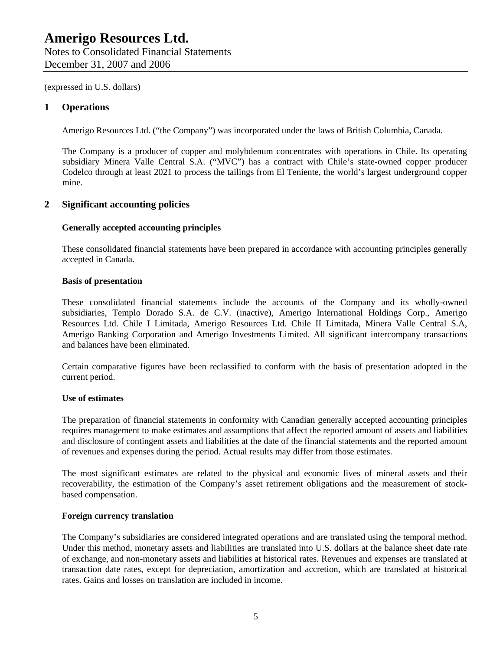### **1 Operations**

Amerigo Resources Ltd. ("the Company") was incorporated under the laws of British Columbia, Canada.

The Company is a producer of copper and molybdenum concentrates with operations in Chile. Its operating subsidiary Minera Valle Central S.A. ("MVC") has a contract with Chile's state-owned copper producer Codelco through at least 2021 to process the tailings from El Teniente, the world's largest underground copper mine.

### **2 Significant accounting policies**

### **Generally accepted accounting principles**

These consolidated financial statements have been prepared in accordance with accounting principles generally accepted in Canada.

### **Basis of presentation**

These consolidated financial statements include the accounts of the Company and its wholly-owned subsidiaries, Templo Dorado S.A. de C.V. (inactive), Amerigo International Holdings Corp., Amerigo Resources Ltd. Chile I Limitada, Amerigo Resources Ltd. Chile II Limitada, Minera Valle Central S.A, Amerigo Banking Corporation and Amerigo Investments Limited. All significant intercompany transactions and balances have been eliminated.

Certain comparative figures have been reclassified to conform with the basis of presentation adopted in the current period.

### **Use of estimates**

The preparation of financial statements in conformity with Canadian generally accepted accounting principles requires management to make estimates and assumptions that affect the reported amount of assets and liabilities and disclosure of contingent assets and liabilities at the date of the financial statements and the reported amount of revenues and expenses during the period. Actual results may differ from those estimates.

The most significant estimates are related to the physical and economic lives of mineral assets and their recoverability, the estimation of the Company's asset retirement obligations and the measurement of stockbased compensation.

#### **Foreign currency translation**

The Company's subsidiaries are considered integrated operations and are translated using the temporal method. Under this method, monetary assets and liabilities are translated into U.S. dollars at the balance sheet date rate of exchange, and non-monetary assets and liabilities at historical rates. Revenues and expenses are translated at transaction date rates, except for depreciation, amortization and accretion, which are translated at historical rates. Gains and losses on translation are included in income.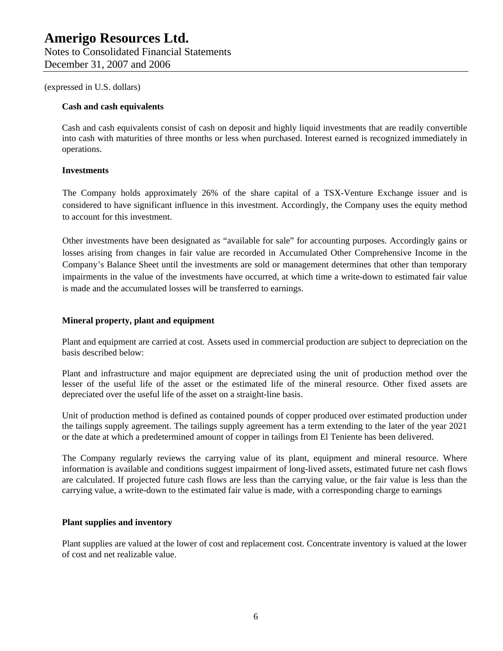#### **Cash and cash equivalents**

Cash and cash equivalents consist of cash on deposit and highly liquid investments that are readily convertible into cash with maturities of three months or less when purchased. Interest earned is recognized immediately in operations.

### **Investments**

The Company holds approximately 26% of the share capital of a TSX-Venture Exchange issuer and is considered to have significant influence in this investment. Accordingly, the Company uses the equity method to account for this investment.

Other investments have been designated as "available for sale" for accounting purposes. Accordingly gains or losses arising from changes in fair value are recorded in Accumulated Other Comprehensive Income in the Company's Balance Sheet until the investments are sold or management determines that other than temporary impairments in the value of the investments have occurred, at which time a write-down to estimated fair value is made and the accumulated losses will be transferred to earnings.

### **Mineral property, plant and equipment**

Plant and equipment are carried at cost. Assets used in commercial production are subject to depreciation on the basis described below:

Plant and infrastructure and major equipment are depreciated using the unit of production method over the lesser of the useful life of the asset or the estimated life of the mineral resource. Other fixed assets are depreciated over the useful life of the asset on a straight-line basis.

Unit of production method is defined as contained pounds of copper produced over estimated production under the tailings supply agreement. The tailings supply agreement has a term extending to the later of the year 2021 or the date at which a predetermined amount of copper in tailings from El Teniente has been delivered.

The Company regularly reviews the carrying value of its plant, equipment and mineral resource. Where information is available and conditions suggest impairment of long-lived assets, estimated future net cash flows are calculated. If projected future cash flows are less than the carrying value, or the fair value is less than the carrying value, a write-down to the estimated fair value is made, with a corresponding charge to earnings

#### **Plant supplies and inventory**

Plant supplies are valued at the lower of cost and replacement cost. Concentrate inventory is valued at the lower of cost and net realizable value.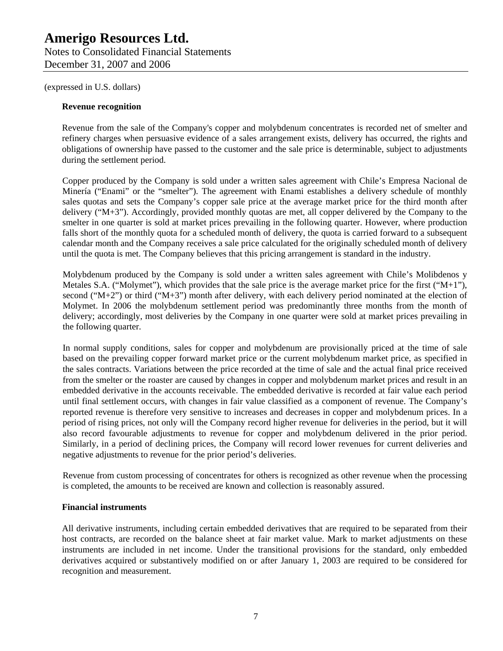## **Amerigo Resources Ltd.**  Notes to Consolidated Financial Statements

December 31, 2007 and 2006

(expressed in U.S. dollars)

### **Revenue recognition**

Revenue from the sale of the Company's copper and molybdenum concentrates is recorded net of smelter and refinery charges when persuasive evidence of a sales arrangement exists, delivery has occurred, the rights and obligations of ownership have passed to the customer and the sale price is determinable, subject to adjustments during the settlement period.

Copper produced by the Company is sold under a written sales agreement with Chile's Empresa Nacional de Minería ("Enami" or the "smelter"). The agreement with Enami establishes a delivery schedule of monthly sales quotas and sets the Company's copper sale price at the average market price for the third month after delivery ("M+3"). Accordingly, provided monthly quotas are met, all copper delivered by the Company to the smelter in one quarter is sold at market prices prevailing in the following quarter. However, where production falls short of the monthly quota for a scheduled month of delivery, the quota is carried forward to a subsequent calendar month and the Company receives a sale price calculated for the originally scheduled month of delivery until the quota is met. The Company believes that this pricing arrangement is standard in the industry.

Molybdenum produced by the Company is sold under a written sales agreement with Chile's Molibdenos y Metales S.A. ("Molymet"), which provides that the sale price is the average market price for the first ("M+1"), second ("M+2") or third ("M+3") month after delivery, with each delivery period nominated at the election of Molymet. In 2006 the molybdenum settlement period was predominantly three months from the month of delivery; accordingly, most deliveries by the Company in one quarter were sold at market prices prevailing in the following quarter.

In normal supply conditions, sales for copper and molybdenum are provisionally priced at the time of sale based on the prevailing copper forward market price or the current molybdenum market price, as specified in the sales contracts. Variations between the price recorded at the time of sale and the actual final price received from the smelter or the roaster are caused by changes in copper and molybdenum market prices and result in an embedded derivative in the accounts receivable. The embedded derivative is recorded at fair value each period until final settlement occurs, with changes in fair value classified as a component of revenue. The Company's reported revenue is therefore very sensitive to increases and decreases in copper and molybdenum prices. In a period of rising prices, not only will the Company record higher revenue for deliveries in the period, but it will also record favourable adjustments to revenue for copper and molybdenum delivered in the prior period. Similarly, in a period of declining prices, the Company will record lower revenues for current deliveries and negative adjustments to revenue for the prior period's deliveries.

Revenue from custom processing of concentrates for others is recognized as other revenue when the processing is completed, the amounts to be received are known and collection is reasonably assured.

### **Financial instruments**

All derivative instruments, including certain embedded derivatives that are required to be separated from their host contracts, are recorded on the balance sheet at fair market value. Mark to market adjustments on these instruments are included in net income. Under the transitional provisions for the standard, only embedded derivatives acquired or substantively modified on or after January 1, 2003 are required to be considered for recognition and measurement.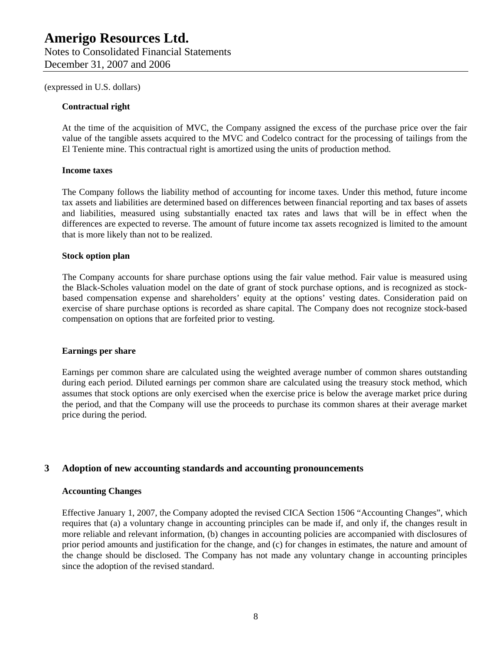#### **Contractual right**

At the time of the acquisition of MVC, the Company assigned the excess of the purchase price over the fair value of the tangible assets acquired to the MVC and Codelco contract for the processing of tailings from the El Teniente mine. This contractual right is amortized using the units of production method.

#### **Income taxes**

The Company follows the liability method of accounting for income taxes. Under this method, future income tax assets and liabilities are determined based on differences between financial reporting and tax bases of assets and liabilities, measured using substantially enacted tax rates and laws that will be in effect when the differences are expected to reverse. The amount of future income tax assets recognized is limited to the amount that is more likely than not to be realized.

#### **Stock option plan**

The Company accounts for share purchase options using the fair value method. Fair value is measured using the Black-Scholes valuation model on the date of grant of stock purchase options, and is recognized as stockbased compensation expense and shareholders' equity at the options' vesting dates. Consideration paid on exercise of share purchase options is recorded as share capital. The Company does not recognize stock-based compensation on options that are forfeited prior to vesting.

#### **Earnings per share**

Earnings per common share are calculated using the weighted average number of common shares outstanding during each period. Diluted earnings per common share are calculated using the treasury stock method, which assumes that stock options are only exercised when the exercise price is below the average market price during the period, and that the Company will use the proceeds to purchase its common shares at their average market price during the period.

### **3 Adoption of new accounting standards and accounting pronouncements**

#### **Accounting Changes**

Effective January 1, 2007, the Company adopted the revised CICA Section 1506 "Accounting Changes", which requires that (a) a voluntary change in accounting principles can be made if, and only if, the changes result in more reliable and relevant information, (b) changes in accounting policies are accompanied with disclosures of prior period amounts and justification for the change, and (c) for changes in estimates, the nature and amount of the change should be disclosed. The Company has not made any voluntary change in accounting principles since the adoption of the revised standard.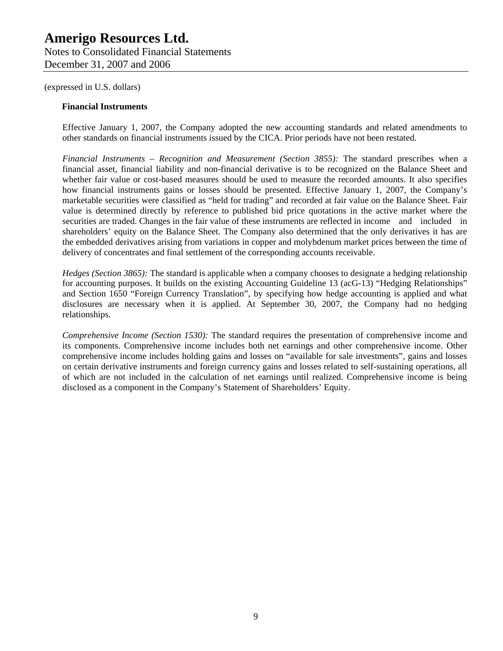#### **Financial Instruments**

Effective January 1, 2007, the Company adopted the new accounting standards and related amendments to other standards on financial instruments issued by the CICA. Prior periods have not been restated.

*Financial Instruments – Recognition and Measurement (Section 3855):* The standard prescribes when a financial asset, financial liability and non-financial derivative is to be recognized on the Balance Sheet and whether fair value or cost-based measures should be used to measure the recorded amounts. It also specifies how financial instruments gains or losses should be presented. Effective January 1, 2007, the Company's marketable securities were classified as "held for trading" and recorded at fair value on the Balance Sheet. Fair value is determined directly by reference to published bid price quotations in the active market where the securities are traded. Changes in the fair value of these instruments are reflected in income and included in shareholders' equity on the Balance Sheet. The Company also determined that the only derivatives it has are the embedded derivatives arising from variations in copper and molybdenum market prices between the time of delivery of concentrates and final settlement of the corresponding accounts receivable.

*Hedges (Section 3865):* The standard is applicable when a company chooses to designate a hedging relationship for accounting purposes. It builds on the existing Accounting Guideline 13 (acG-13) "Hedging Relationships" and Section 1650 "Foreign Currency Translation", by specifying how hedge accounting is applied and what disclosures are necessary when it is applied. At September 30, 2007, the Company had no hedging relationships.

*Comprehensive Income (Section 1530):* The standard requires the presentation of comprehensive income and its components. Comprehensive income includes both net earnings and other comprehensive income. Other comprehensive income includes holding gains and losses on "available for sale investments", gains and losses on certain derivative instruments and foreign currency gains and losses related to self-sustaining operations, all of which are not included in the calculation of net earnings until realized. Comprehensive income is being disclosed as a component in the Company's Statement of Shareholders' Equity.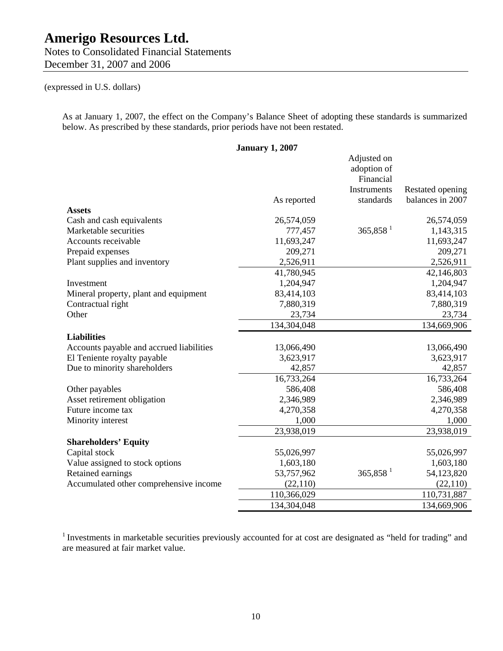Notes to Consolidated Financial Statements December 31, 2007 and 2006

### (expressed in U.S. dollars)

As at January 1, 2007, the effect on the Company's Balance Sheet of adopting these standards is summarized below. As prescribed by these standards, prior periods have not been restated.

**January 1, 2007**  As reported Adjusted on adoption of Financial Instruments standards Restated opening balances in 2007 **Assets**  Cash and cash equivalents 26,574,059 26,574,059 26,574,059 26,574,059 26,574,059 26,574,059 Marketable securities  $777,457$   $365,858$   $1$   $1,143,315$ Accounts receivable 11,693,247 11,693,247 11,693,247 Prepaid expenses 209,271 209,271 Plant supplies and inventory 2,526,911 2,526,911 2,526,911 41,780,945 42,146,803 Investment 1,204,947 1,204,947 Mineral property, plant and equipment 83,414,103 83,414,103 Contractual right 7,880,319 7,880,319 Other 23,734 23,734 134,304,048 134,669,906 **Liabilities**  Accounts payable and accrued liabilities 13,066,490 13,066,490 13,066,490 13,066,490 13,066,490 13,065,490 13,065,490 13,066,490 13,066,490 13,066,490 13,066,490 13,066,490 13,066,490 13,066,490 13,066,490 13,066,490 13,06 El Teniente royalty payable 3,623,917 3,623,917 Due to minority shareholders  $42,857$   $42,857$   $42,857$ 16,733,264 16,733,264 Other payables 586,408 586,408 Asset retirement obligation  $2,346,989$   $2,346,989$   $2,346,989$ Future income tax  $4,270,358$   $4,270,358$   $4,270,358$ Minority interest 1,000 1,000 23,938,019 23,938,019 **Shareholders' Equity**  Capital stock 55,026,997 55,026,997 55,026,997 Value assigned to stock options 1,603,180 1,603,180 1,603,180 Retained earnings 53,757,962 365,858<sup>1</sup> 54,123,820 Accumulated other comprehensive income (22,110) (22,110) (22,110) 110,366,029 110,731,887 134,304,048 134,669,906

<sup>1</sup> Investments in marketable securities previously accounted for at cost are designated as "held for trading" and are measured at fair market value.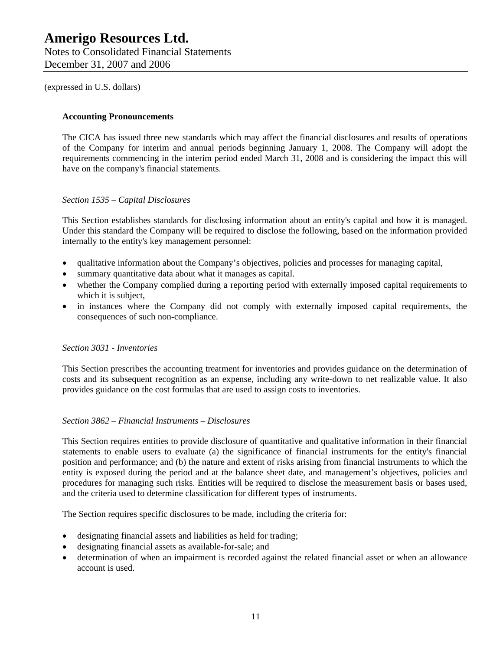### **Amerigo Resources Ltd.**  Notes to Consolidated Financial Statements

December 31, 2007 and 2006

(expressed in U.S. dollars)

### **Accounting Pronouncements**

The CICA has issued three new standards which may affect the financial disclosures and results of operations of the Company for interim and annual periods beginning January 1, 2008. The Company will adopt the requirements commencing in the interim period ended March 31, 2008 and is considering the impact this will have on the company's financial statements.

### *Section 1535 – Capital Disclosures*

This Section establishes standards for disclosing information about an entity's capital and how it is managed. Under this standard the Company will be required to disclose the following, based on the information provided internally to the entity's key management personnel:

- qualitative information about the Company's objectives, policies and processes for managing capital,
- summary quantitative data about what it manages as capital.
- whether the Company complied during a reporting period with externally imposed capital requirements to which it is subject,
- in instances where the Company did not comply with externally imposed capital requirements, the consequences of such non-compliance.

### *Section 3031 - Inventories*

This Section prescribes the accounting treatment for inventories and provides guidance on the determination of costs and its subsequent recognition as an expense, including any write-down to net realizable value. It also provides guidance on the cost formulas that are used to assign costs to inventories.

### *Section 3862 – Financial Instruments – Disclosures*

This Section requires entities to provide disclosure of quantitative and qualitative information in their financial statements to enable users to evaluate (a) the significance of financial instruments for the entity's financial position and performance; and (b) the nature and extent of risks arising from financial instruments to which the entity is exposed during the period and at the balance sheet date, and management's objectives, policies and procedures for managing such risks. Entities will be required to disclose the measurement basis or bases used, and the criteria used to determine classification for different types of instruments.

The Section requires specific disclosures to be made, including the criteria for:

- designating financial assets and liabilities as held for trading;
- designating financial assets as available-for-sale; and
- determination of when an impairment is recorded against the related financial asset or when an allowance account is used.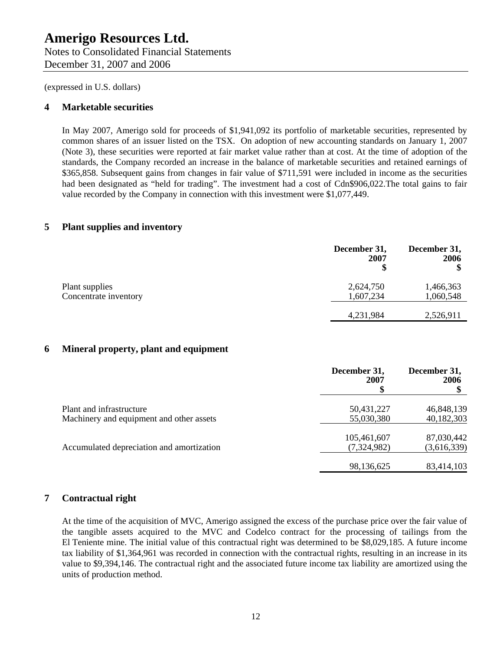Notes to Consolidated Financial Statements December 31, 2007 and 2006

(expressed in U.S. dollars)

### **4 Marketable securities**

In May 2007, Amerigo sold for proceeds of \$1,941,092 its portfolio of marketable securities, represented by common shares of an issuer listed on the TSX. On adoption of new accounting standards on January 1, 2007 (Note 3), these securities were reported at fair market value rather than at cost. At the time of adoption of the standards, the Company recorded an increase in the balance of marketable securities and retained earnings of \$365,858. Subsequent gains from changes in fair value of \$711,591 were included in income as the securities had been designated as "held for trading". The investment had a cost of Cdn\$906,022. The total gains to fair value recorded by the Company in connection with this investment were \$1,077,449.

### **5 Plant supplies and inventory**

|                                         | December 31,<br>2007   | December 31,<br>2006   |
|-----------------------------------------|------------------------|------------------------|
| Plant supplies<br>Concentrate inventory | 2,624,750<br>1,607,234 | 1,466,363<br>1,060,548 |
|                                         | 4,231,984              | 2,526,911              |

### **6 Mineral property, plant and equipment**

|                                                                      | December 31,<br>2007       | December 31,<br>2006      |
|----------------------------------------------------------------------|----------------------------|---------------------------|
| Plant and infrastructure<br>Machinery and equipment and other assets | 50,431,227<br>55,030,380   | 46,848,139<br>40,182,303  |
| Accumulated depreciation and amortization                            | 105,461,607<br>(7,324,982) | 87,030,442<br>(3,616,339) |
|                                                                      | 98,136,625                 | 83,414,103                |

### **7 Contractual right**

At the time of the acquisition of MVC, Amerigo assigned the excess of the purchase price over the fair value of the tangible assets acquired to the MVC and Codelco contract for the processing of tailings from the El Teniente mine. The initial value of this contractual right was determined to be \$8,029,185. A future income tax liability of \$1,364,961 was recorded in connection with the contractual rights, resulting in an increase in its value to \$9,394,146. The contractual right and the associated future income tax liability are amortized using the units of production method.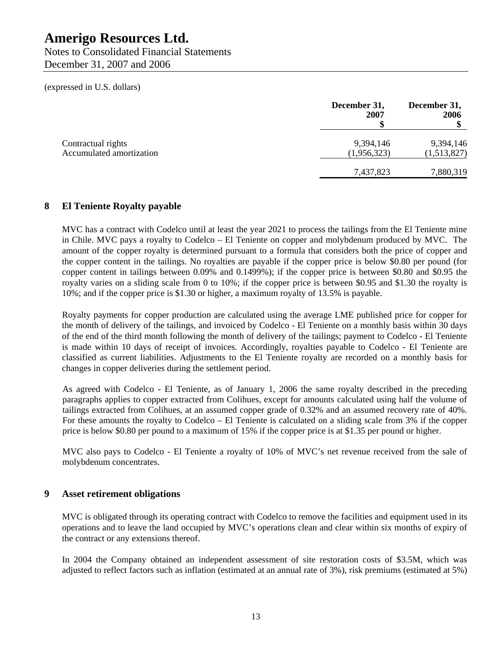Notes to Consolidated Financial Statements December 31, 2007 and 2006

(expressed in U.S. dollars)

|                                                | December 31,<br>2007     | December 31,<br>2006     |
|------------------------------------------------|--------------------------|--------------------------|
| Contractual rights<br>Accumulated amortization | 9,394,146<br>(1,956,323) | 9,394,146<br>(1,513,827) |
|                                                | 7,437,823                | 7,880,319                |

### **8 El Teniente Royalty payable**

MVC has a contract with Codelco until at least the year 2021 to process the tailings from the El Teniente mine in Chile. MVC pays a royalty to Codelco – El Teniente on copper and molybdenum produced by MVC. The amount of the copper royalty is determined pursuant to a formula that considers both the price of copper and the copper content in the tailings. No royalties are payable if the copper price is below \$0.80 per pound (for copper content in tailings between 0.09% and 0.1499%); if the copper price is between \$0.80 and \$0.95 the royalty varies on a sliding scale from 0 to 10%; if the copper price is between \$0.95 and \$1.30 the royalty is 10%; and if the copper price is \$1.30 or higher, a maximum royalty of 13.5% is payable.

Royalty payments for copper production are calculated using the average LME published price for copper for the month of delivery of the tailings, and invoiced by Codelco - El Teniente on a monthly basis within 30 days of the end of the third month following the month of delivery of the tailings; payment to Codelco - El Teniente is made within 10 days of receipt of invoices. Accordingly, royalties payable to Codelco - El Teniente are classified as current liabilities. Adjustments to the El Teniente royalty are recorded on a monthly basis for changes in copper deliveries during the settlement period.

As agreed with Codelco - El Teniente, as of January 1, 2006 the same royalty described in the preceding paragraphs applies to copper extracted from Colihues, except for amounts calculated using half the volume of tailings extracted from Colihues, at an assumed copper grade of 0.32% and an assumed recovery rate of 40%. For these amounts the royalty to Codelco – El Teniente is calculated on a sliding scale from 3% if the copper price is below \$0.80 per pound to a maximum of 15% if the copper price is at \$1.35 per pound or higher.

MVC also pays to Codelco - El Teniente a royalty of 10% of MVC's net revenue received from the sale of molybdenum concentrates.

### **9 Asset retirement obligations**

MVC is obligated through its operating contract with Codelco to remove the facilities and equipment used in its operations and to leave the land occupied by MVC's operations clean and clear within six months of expiry of the contract or any extensions thereof.

In 2004 the Company obtained an independent assessment of site restoration costs of \$3.5M, which was adjusted to reflect factors such as inflation (estimated at an annual rate of 3%), risk premiums (estimated at 5%)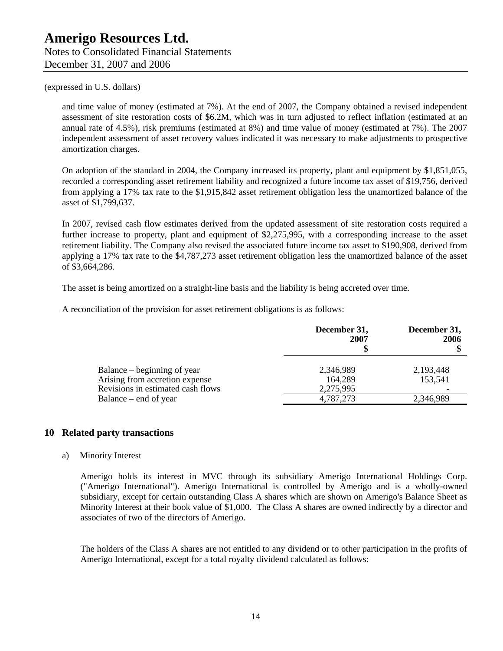Notes to Consolidated Financial Statements December 31, 2007 and 2006

### (expressed in U.S. dollars)

and time value of money (estimated at 7%). At the end of 2007, the Company obtained a revised independent assessment of site restoration costs of \$6.2M, which was in turn adjusted to reflect inflation (estimated at an annual rate of 4.5%), risk premiums (estimated at 8%) and time value of money (estimated at 7%). The 2007 independent assessment of asset recovery values indicated it was necessary to make adjustments to prospective amortization charges.

On adoption of the standard in 2004, the Company increased its property, plant and equipment by \$1,851,055, recorded a corresponding asset retirement liability and recognized a future income tax asset of \$19,756, derived from applying a 17% tax rate to the \$1,915,842 asset retirement obligation less the unamortized balance of the asset of \$1,799,637.

In 2007, revised cash flow estimates derived from the updated assessment of site restoration costs required a further increase to property, plant and equipment of \$2,275,995, with a corresponding increase to the asset retirement liability. The Company also revised the associated future income tax asset to \$190,908, derived from applying a 17% tax rate to the \$4,787,273 asset retirement obligation less the unamortized balance of the asset of \$3,664,286.

The asset is being amortized on a straight-line basis and the liability is being accreted over time.

A reconciliation of the provision for asset retirement obligations is as follows:

|                                                                                                    | December 31,<br>2007              | December 31,<br>2006 |
|----------------------------------------------------------------------------------------------------|-----------------------------------|----------------------|
| Balance – beginning of year<br>Arising from accretion expense<br>Revisions in estimated cash flows | 2,346,989<br>164,289<br>2,275,995 | 2,193,448<br>153,541 |
| Balance – end of year                                                                              | 4,787,273                         | 2,346,989            |

### **10 Related party transactions**

#### a) Minority Interest

Amerigo holds its interest in MVC through its subsidiary Amerigo International Holdings Corp. ("Amerigo International"). Amerigo International is controlled by Amerigo and is a wholly-owned subsidiary, except for certain outstanding Class A shares which are shown on Amerigo's Balance Sheet as Minority Interest at their book value of \$1,000. The Class A shares are owned indirectly by a director and associates of two of the directors of Amerigo.

The holders of the Class A shares are not entitled to any dividend or to other participation in the profits of Amerigo International, except for a total royalty dividend calculated as follows: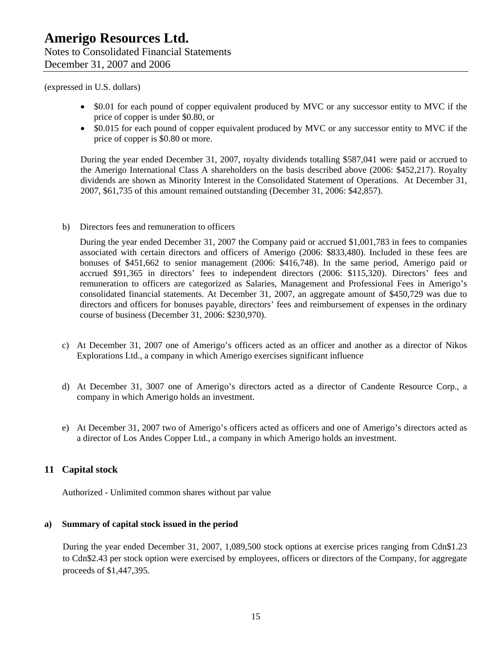- \$0.01 for each pound of copper equivalent produced by MVC or any successor entity to MVC if the price of copper is under \$0.80, or
- \$0.015 for each pound of copper equivalent produced by MVC or any successor entity to MVC if the price of copper is \$0.80 or more.

During the year ended December 31, 2007, royalty dividends totalling \$587,041 were paid or accrued to the Amerigo International Class A shareholders on the basis described above (2006: \$452,217). Royalty dividends are shown as Minority Interest in the Consolidated Statement of Operations. At December 31, 2007, \$61,735 of this amount remained outstanding (December 31, 2006: \$42,857).

b) Directors fees and remuneration to officers

During the year ended December 31, 2007 the Company paid or accrued \$1,001,783 in fees to companies associated with certain directors and officers of Amerigo (2006: \$833,480). Included in these fees are bonuses of \$451,662 to senior management (2006: \$416,748). In the same period, Amerigo paid or accrued \$91,365 in directors' fees to independent directors (2006: \$115,320). Directors' fees and remuneration to officers are categorized as Salaries, Management and Professional Fees in Amerigo's consolidated financial statements. At December 31, 2007, an aggregate amount of \$450,729 was due to directors and officers for bonuses payable, directors' fees and reimbursement of expenses in the ordinary course of business (December 31, 2006: \$230,970).

- c) At December 31, 2007 one of Amerigo's officers acted as an officer and another as a director of Nikos Explorations Ltd., a company in which Amerigo exercises significant influence
- d) At December 31, 3007 one of Amerigo's directors acted as a director of Candente Resource Corp., a company in which Amerigo holds an investment.
- e) At December 31, 2007 two of Amerigo's officers acted as officers and one of Amerigo's directors acted as a director of Los Andes Copper Ltd., a company in which Amerigo holds an investment.

### **11 Capital stock**

Authorized - Unlimited common shares without par value

### **a) Summary of capital stock issued in the period**

During the year ended December 31, 2007, 1,089,500 stock options at exercise prices ranging from Cdn\$1.23 to Cdn\$2.43 per stock option were exercised by employees, officers or directors of the Company, for aggregate proceeds of \$1,447,395.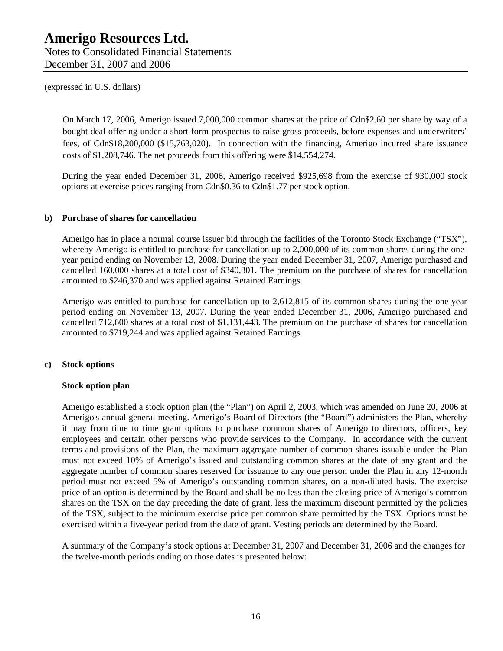Notes to Consolidated Financial Statements December 31, 2007 and 2006

(expressed in U.S. dollars)

On March 17, 2006, Amerigo issued 7,000,000 common shares at the price of Cdn\$2.60 per share by way of a bought deal offering under a short form prospectus to raise gross proceeds, before expenses and underwriters' fees, of Cdn\$18,200,000 (\$15,763,020). In connection with the financing, Amerigo incurred share issuance costs of \$1,208,746. The net proceeds from this offering were \$14,554,274.

During the year ended December 31, 2006, Amerigo received \$925,698 from the exercise of 930,000 stock options at exercise prices ranging from Cdn\$0.36 to Cdn\$1.77 per stock option.

### **b) Purchase of shares for cancellation**

Amerigo has in place a normal course issuer bid through the facilities of the Toronto Stock Exchange ("TSX"), whereby Amerigo is entitled to purchase for cancellation up to 2,000,000 of its common shares during the oneyear period ending on November 13, 2008. During the year ended December 31, 2007, Amerigo purchased and cancelled 160,000 shares at a total cost of \$340,301. The premium on the purchase of shares for cancellation amounted to \$246,370 and was applied against Retained Earnings.

Amerigo was entitled to purchase for cancellation up to 2,612,815 of its common shares during the one-year period ending on November 13, 2007. During the year ended December 31, 2006, Amerigo purchased and cancelled 712,600 shares at a total cost of \$1,131,443. The premium on the purchase of shares for cancellation amounted to \$719,244 and was applied against Retained Earnings.

### **c) Stock options**

#### **Stock option plan**

Amerigo established a stock option plan (the "Plan") on April 2, 2003, which was amended on June 20, 2006 at Amerigo's annual general meeting. Amerigo's Board of Directors (the "Board") administers the Plan, whereby it may from time to time grant options to purchase common shares of Amerigo to directors, officers, key employees and certain other persons who provide services to the Company. In accordance with the current terms and provisions of the Plan, the maximum aggregate number of common shares issuable under the Plan must not exceed 10% of Amerigo's issued and outstanding common shares at the date of any grant and the aggregate number of common shares reserved for issuance to any one person under the Plan in any 12-month period must not exceed 5% of Amerigo's outstanding common shares, on a non-diluted basis. The exercise price of an option is determined by the Board and shall be no less than the closing price of Amerigo's common shares on the TSX on the day preceding the date of grant, less the maximum discount permitted by the policies of the TSX, subject to the minimum exercise price per common share permitted by the TSX. Options must be exercised within a five-year period from the date of grant. Vesting periods are determined by the Board.

A summary of the Company's stock options at December 31, 2007 and December 31, 2006 and the changes for the twelve-month periods ending on those dates is presented below: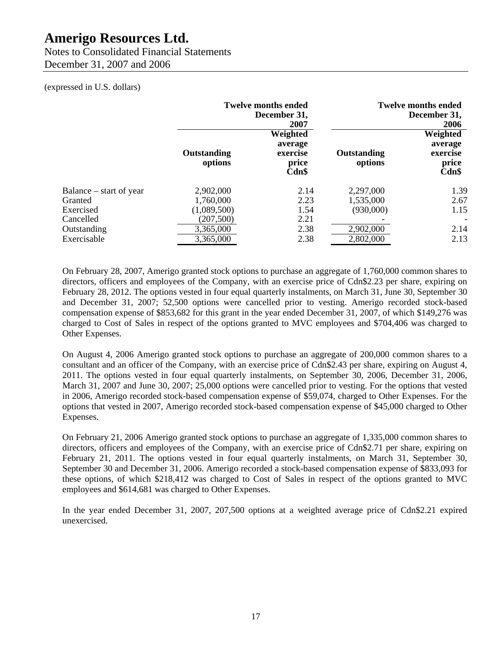Notes to Consolidated Financial Statements December 31, 2007 and 2006

### (expressed in U.S. dollars)

|                         | <b>Twelve months ended</b><br>December 31,<br>2007 |                                                   |                        | <b>Twelve months ended</b><br>December 31,<br>2006   |
|-------------------------|----------------------------------------------------|---------------------------------------------------|------------------------|------------------------------------------------------|
|                         | Outstanding<br>options                             | Weighted<br>average<br>exercise<br>price<br>Cdn\$ | Outstanding<br>options | Weighted<br>average<br>exercise<br>price<br>$Cdn$ \$ |
| Balance – start of year | 2,902,000                                          | 2.14                                              | 2,297,000              | 1.39                                                 |
| Granted                 | 1,760,000                                          | 2.23                                              | 1,535,000              | 2.67                                                 |
| Exercised               | (1,089,500)                                        | 1.54                                              | (930,000)              | 1.15                                                 |
| Cancelled               | (207, 500)                                         | 2.21                                              |                        |                                                      |
| Outstanding             | 3,365,000                                          | 2.38                                              | 2,902,000              | 2.14                                                 |
| Exercisable             | 3,365,000                                          | 2.38                                              | 2,802,000              | 2.13                                                 |

On February 28, 2007, Amerigo granted stock options to purchase an aggregate of 1,760,000 common shares to directors, officers and employees of the Company, with an exercise price of Cdn\$2.23 per share, expiring on February 28, 2012. The options vested in four equal quarterly instalments, on March 31, June 30, September 30 and December 31, 2007; 52,500 options were cancelled prior to vesting. Amerigo recorded stock-based compensation expense of \$853,682 for this grant in the year ended December 31, 2007, of which \$149,276 was charged to Cost of Sales in respect of the options granted to MVC employees and \$704,406 was charged to Other Expenses.

On August 4, 2006 Amerigo granted stock options to purchase an aggregate of 200,000 common shares to a consultant and an officer of the Company, with an exercise price of Cdn\$2.43 per share, expiring on August 4, 2011. The options vested in four equal quarterly instalments, on September 30, 2006, December 31, 2006, March 31, 2007 and June 30, 2007; 25,000 options were cancelled prior to vesting. For the options that vested in 2006, Amerigo recorded stock-based compensation expense of \$59,074, charged to Other Expenses. For the options that vested in 2007, Amerigo recorded stock-based compensation expense of \$45,000 charged to Other Expenses.

On February 21, 2006 Amerigo granted stock options to purchase an aggregate of 1,335,000 common shares to directors, officers and employees of the Company, with an exercise price of Cdn\$2.71 per share, expiring on February 21, 2011. The options vested in four equal quarterly instalments, on March 31, September 30, September 30 and December 31, 2006. Amerigo recorded a stock-based compensation expense of \$833,093 for these options, of which \$218,412 was charged to Cost of Sales in respect of the options granted to MVC employees and \$614,681 was charged to Other Expenses.

In the year ended December 31, 2007, 207,500 options at a weighted average price of Cdn\$2.21 expired unexercised.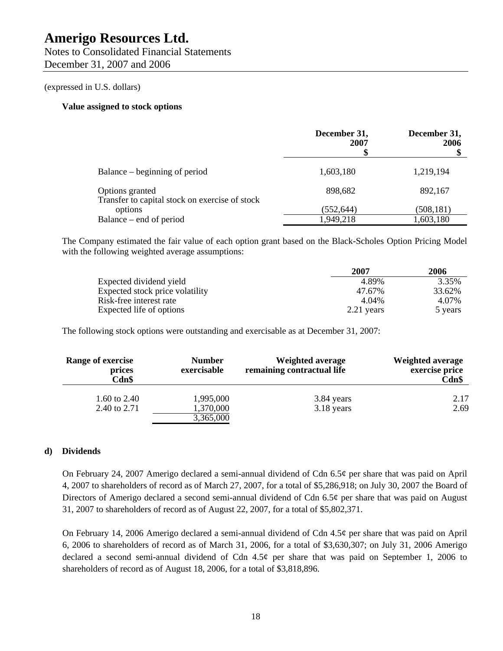Notes to Consolidated Financial Statements December 31, 2007 and 2006

### (expressed in U.S. dollars)

### **Value assigned to stock options**

|                                                                   | December 31,<br>2007<br>\$ | December 31,<br>2006 |
|-------------------------------------------------------------------|----------------------------|----------------------|
| Balance – beginning of period                                     | 1,603,180                  | 1,219,194            |
| Options granted<br>Transfer to capital stock on exercise of stock | 898,682                    | 892,167              |
| options                                                           | (552, 644)                 | (508,181)            |
| Balance – end of period                                           | 1,949,218                  | 1,603,180            |

The Company estimated the fair value of each option grant based on the Black-Scholes Option Pricing Model with the following weighted average assumptions:

|                                 | 2007       | 2006    |
|---------------------------------|------------|---------|
| Expected dividend yield         | 4.89%      | 3.35%   |
| Expected stock price volatility | 47.67%     | 33.62%  |
| Risk-free interest rate         | 4.04%      | 4.07%   |
| Expected life of options        | 2.21 years | 5 years |

The following stock options were outstanding and exercisable as at December 31, 2007:

| <b>Range of exercise</b><br>prices<br>Cdn\$ | <b>Number</b><br>exercisable | <b>Weighted average</b><br>remaining contractual life | <b>Weighted average</b><br>exercise price<br>Cdn\$ |
|---------------------------------------------|------------------------------|-------------------------------------------------------|----------------------------------------------------|
| 1.60 to 2.40                                | 1,995,000                    | 3.84 years                                            | 2.17                                               |
| 2.40 to 2.71                                | 1,370,000<br>3,365,000       | 3.18 years                                            | 2.69                                               |

### **d) Dividends**

On February 24, 2007 Amerigo declared a semi-annual dividend of Cdn 6.5¢ per share that was paid on April 4, 2007 to shareholders of record as of March 27, 2007, for a total of \$5,286,918; on July 30, 2007 the Board of Directors of Amerigo declared a second semi-annual dividend of Cdn 6.5¢ per share that was paid on August 31, 2007 to shareholders of record as of August 22, 2007, for a total of \$5,802,371.

On February 14, 2006 Amerigo declared a semi-annual dividend of Cdn 4.5¢ per share that was paid on April 6, 2006 to shareholders of record as of March 31, 2006, for a total of \$3,630,307; on July 31, 2006 Amerigo declared a second semi-annual dividend of Cdn  $4.5¢$  per share that was paid on September 1, 2006 to shareholders of record as of August 18, 2006, for a total of \$3,818,896.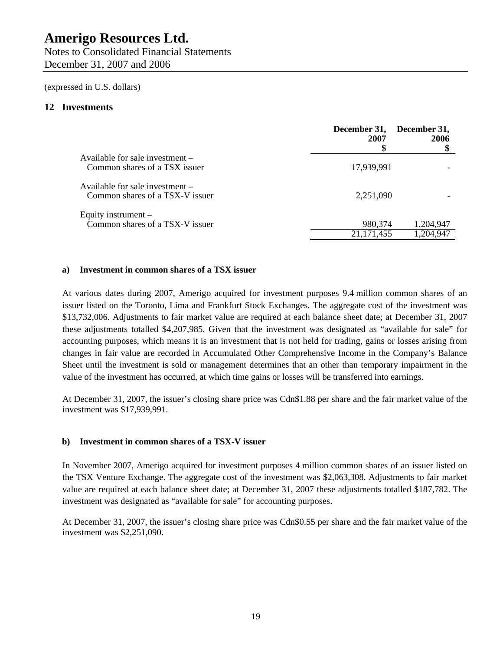Notes to Consolidated Financial Statements December 31, 2007 and 2006

(expressed in U.S. dollars)

### **12 Investments**

|                                                                    | December 31,<br>2007    | December 31,<br>2006   |
|--------------------------------------------------------------------|-------------------------|------------------------|
| Available for sale investment –<br>Common shares of a TSX issuer   | 17,939,991              |                        |
| Available for sale investment -<br>Common shares of a TSX-V issuer | 2,251,090               |                        |
| Equity instrument –<br>Common shares of a TSX-V issuer             | 980,374<br>21, 171, 455 | 1,204,947<br>1,204,947 |

### **a) Investment in common shares of a TSX issuer**

At various dates during 2007, Amerigo acquired for investment purposes 9.4 million common shares of an issuer listed on the Toronto, Lima and Frankfurt Stock Exchanges. The aggregate cost of the investment was \$13,732,006. Adjustments to fair market value are required at each balance sheet date; at December 31, 2007 these adjustments totalled \$4,207,985. Given that the investment was designated as "available for sale" for accounting purposes, which means it is an investment that is not held for trading, gains or losses arising from changes in fair value are recorded in Accumulated Other Comprehensive Income in the Company's Balance Sheet until the investment is sold or management determines that an other than temporary impairment in the value of the investment has occurred, at which time gains or losses will be transferred into earnings.

At December 31, 2007, the issuer's closing share price was Cdn\$1.88 per share and the fair market value of the investment was \$17,939,991.

#### **b) Investment in common shares of a TSX-V issuer**

In November 2007, Amerigo acquired for investment purposes 4 million common shares of an issuer listed on the TSX Venture Exchange. The aggregate cost of the investment was \$2,063,308. Adjustments to fair market value are required at each balance sheet date; at December 31, 2007 these adjustments totalled \$187,782. The investment was designated as "available for sale" for accounting purposes.

At December 31, 2007, the issuer's closing share price was Cdn\$0.55 per share and the fair market value of the investment was \$2,251,090.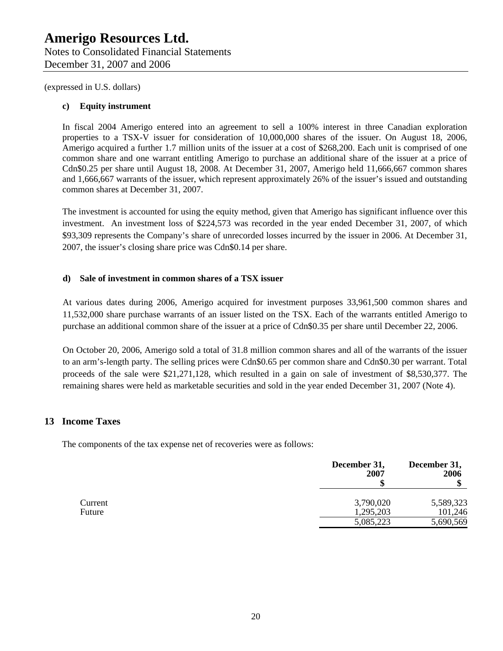### **c) Equity instrument**

In fiscal 2004 Amerigo entered into an agreement to sell a 100% interest in three Canadian exploration properties to a TSX-V issuer for consideration of 10,000,000 shares of the issuer. On August 18, 2006, Amerigo acquired a further 1.7 million units of the issuer at a cost of \$268,200. Each unit is comprised of one common share and one warrant entitling Amerigo to purchase an additional share of the issuer at a price of Cdn\$0.25 per share until August 18, 2008. At December 31, 2007, Amerigo held 11,666,667 common shares and 1,666,667 warrants of the issuer, which represent approximately 26% of the issuer's issued and outstanding common shares at December 31, 2007.

The investment is accounted for using the equity method, given that Amerigo has significant influence over this investment. An investment loss of \$224,573 was recorded in the year ended December 31, 2007, of which \$93,309 represents the Company's share of unrecorded losses incurred by the issuer in 2006. At December 31, 2007, the issuer's closing share price was Cdn\$0.14 per share.

### **d) Sale of investment in common shares of a TSX issuer**

At various dates during 2006, Amerigo acquired for investment purposes 33,961,500 common shares and 11,532,000 share purchase warrants of an issuer listed on the TSX. Each of the warrants entitled Amerigo to purchase an additional common share of the issuer at a price of Cdn\$0.35 per share until December 22, 2006.

On October 20, 2006, Amerigo sold a total of 31.8 million common shares and all of the warrants of the issuer to an arm's-length party. The selling prices were Cdn\$0.65 per common share and Cdn\$0.30 per warrant. Total proceeds of the sale were \$21,271,128, which resulted in a gain on sale of investment of \$8,530,377. The remaining shares were held as marketable securities and sold in the year ended December 31, 2007 (Note 4).

### **13 Income Taxes**

The components of the tax expense net of recoveries were as follows:

|         | December 31,<br>2007 | December 31,<br>2006 |
|---------|----------------------|----------------------|
| Current | 3,790,020            | 5,589,323            |
| Future  | 1,295,203            | 101,246              |
|         | 5,085,223            | 5,690,569            |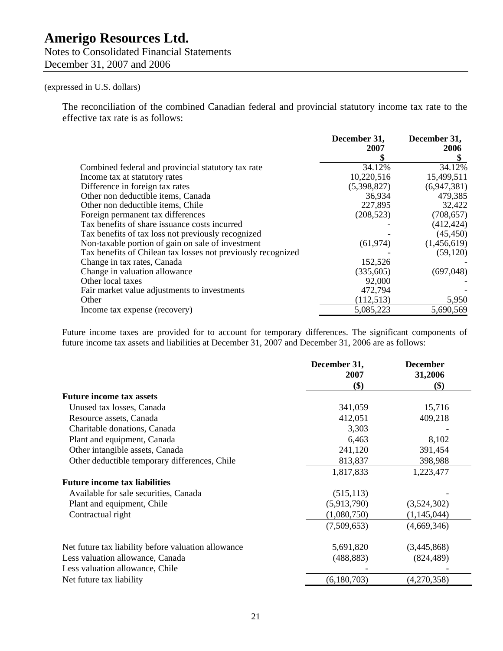Notes to Consolidated Financial Statements December 31, 2007 and 2006

### (expressed in U.S. dollars)

The reconciliation of the combined Canadian federal and provincial statutory income tax rate to the effective tax rate is as follows:

|                                                              | December 31,<br>2007 | December 31,<br>2006 |
|--------------------------------------------------------------|----------------------|----------------------|
|                                                              |                      |                      |
| Combined federal and provincial statutory tax rate           | 34.12%               | 34.12%               |
| Income tax at statutory rates                                | 10,220,516           | 15,499,511           |
| Difference in foreign tax rates                              | (5,398,827)          | (6,947,381)          |
| Other non deductible items, Canada                           | 36,934               | 479,385              |
| Other non deductible items, Chile                            | 227,895              | 32,422               |
| Foreign permanent tax differences                            | (208, 523)           | (708, 657)           |
| Tax benefits of share issuance costs incurred                |                      | (412, 424)           |
| Tax benefits of tax loss not previously recognized           |                      | (45, 450)            |
| Non-taxable portion of gain on sale of investment            | (61, 974)            | (1,456,619)          |
| Tax benefits of Chilean tax losses not previously recognized |                      | (59, 120)            |
| Change in tax rates, Canada                                  | 152,526              |                      |
| Change in valuation allowance                                | (335,605)            | (697,048)            |
| Other local taxes                                            | 92,000               |                      |
| Fair market value adjustments to investments                 | 472,794              |                      |
| Other                                                        | (112, 513)           | 5,950                |
| Income tax expense (recovery)                                | 5,085,223            | 5,690,569            |

Future income taxes are provided for to account for temporary differences. The significant components of future income tax assets and liabilities at December 31, 2007 and December 31, 2006 are as follows:

|                                                     | December 31, | <b>December</b> |
|-----------------------------------------------------|--------------|-----------------|
|                                                     | 2007<br>\$)  | 31,2006<br>\$)  |
| <b>Future income tax assets</b>                     |              |                 |
| Unused tax losses, Canada                           | 341,059      | 15,716          |
| Resource assets, Canada                             | 412,051      | 409,218         |
| Charitable donations, Canada                        | 3,303        |                 |
| Plant and equipment, Canada                         | 6,463        | 8,102           |
| Other intangible assets, Canada                     | 241,120      | 391,454         |
| Other deductible temporary differences, Chile       | 813,837      | 398,988         |
|                                                     | 1,817,833    | 1,223,477       |
| <b>Future income tax liabilities</b>                |              |                 |
| Available for sale securities, Canada               | (515, 113)   |                 |
| Plant and equipment, Chile                          | (5,913,790)  | (3,524,302)     |
| Contractual right                                   | (1,080,750)  | (1,145,044)     |
|                                                     | (7,509,653)  | (4,669,346)     |
| Net future tax liability before valuation allowance | 5,691,820    | (3,445,868)     |
| Less valuation allowance, Canada                    | (488, 883)   | (824, 489)      |
| Less valuation allowance, Chile                     |              |                 |
| Net future tax liability                            | (6,180,703)  | (4,270,358)     |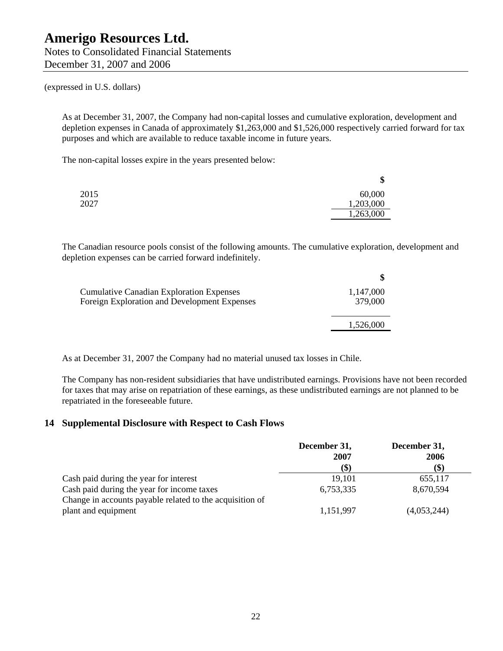Notes to Consolidated Financial Statements December 31, 2007 and 2006

### (expressed in U.S. dollars)

As at December 31, 2007, the Company had non-capital losses and cumulative exploration, development and depletion expenses in Canada of approximately \$1,263,000 and \$1,526,000 respectively carried forward for tax purposes and which are available to reduce taxable income in future years.

The non-capital losses expire in the years presented below:

|      | \$        |
|------|-----------|
| 2015 | 60,000    |
| 2027 | 1,203,000 |
|      | 1,263,000 |

The Canadian resource pools consist of the following amounts. The cumulative exploration, development and depletion expenses can be carried forward indefinitely.

| <b>Cumulative Canadian Exploration Expenses</b><br>Foreign Exploration and Development Expenses | 1,147,000<br>379,000 |
|-------------------------------------------------------------------------------------------------|----------------------|
|                                                                                                 | 1,526,000            |

As at December 31, 2007 the Company had no material unused tax losses in Chile.

The Company has non-resident subsidiaries that have undistributed earnings. Provisions have not been recorded for taxes that may arise on repatriation of these earnings, as these undistributed earnings are not planned to be repatriated in the foreseeable future.

### **14 Supplemental Disclosure with Respect to Cash Flows**

|                                                          | December 31, | December 31, |
|----------------------------------------------------------|--------------|--------------|
|                                                          | 2007         | 2006         |
|                                                          | (\$)         | $($ \$)      |
| Cash paid during the year for interest                   | 19,101       | 655,117      |
| Cash paid during the year for income taxes               | 6,753,335    | 8,670,594    |
| Change in accounts payable related to the acquisition of |              |              |
| plant and equipment                                      | 1,151,997    | (4,053,244)  |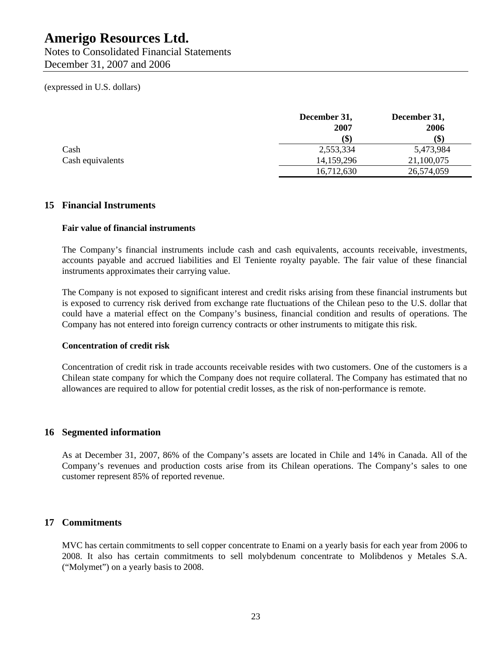Notes to Consolidated Financial Statements December 31, 2007 and 2006

### (expressed in U.S. dollars)

|                  | December 31,<br>2007 | December 31,<br>2006 |
|------------------|----------------------|----------------------|
|                  | (\$)                 | \$)                  |
| Cash             | 2,553,334            | 5,473,984            |
| Cash equivalents | 14, 159, 296         | 21,100,075           |
|                  | 16,712,630           | 26,574,059           |

### **15 Financial Instruments**

### **Fair value of financial instruments**

The Company's financial instruments include cash and cash equivalents, accounts receivable, investments, accounts payable and accrued liabilities and El Teniente royalty payable. The fair value of these financial instruments approximates their carrying value.

The Company is not exposed to significant interest and credit risks arising from these financial instruments but is exposed to currency risk derived from exchange rate fluctuations of the Chilean peso to the U.S. dollar that could have a material effect on the Company's business, financial condition and results of operations. The Company has not entered into foreign currency contracts or other instruments to mitigate this risk.

### **Concentration of credit risk**

Concentration of credit risk in trade accounts receivable resides with two customers. One of the customers is a Chilean state company for which the Company does not require collateral. The Company has estimated that no allowances are required to allow for potential credit losses, as the risk of non-performance is remote.

### **16 Segmented information**

As at December 31, 2007, 86% of the Company's assets are located in Chile and 14% in Canada. All of the Company's revenues and production costs arise from its Chilean operations. The Company's sales to one customer represent 85% of reported revenue.

### **17 Commitments**

MVC has certain commitments to sell copper concentrate to Enami on a yearly basis for each year from 2006 to 2008. It also has certain commitments to sell molybdenum concentrate to Molibdenos y Metales S.A. ("Molymet") on a yearly basis to 2008.